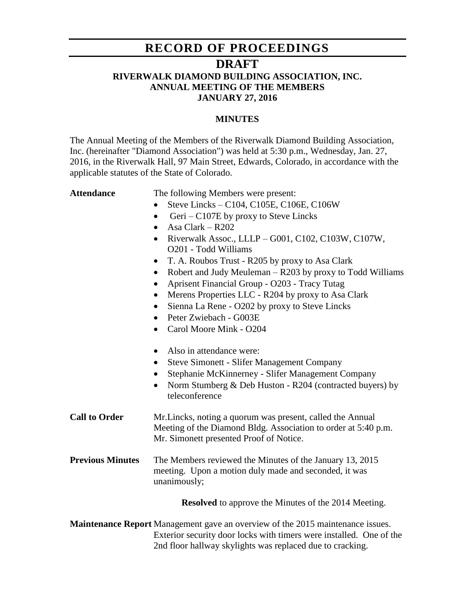# **RECORD OF PROCEEDINGS**

## **DRAFT**

## **RIVERWALK DIAMOND BUILDING ASSOCIATION, INC. ANNUAL MEETING OF THE MEMBERS JANUARY 27, 2016**

### **MINUTES**

The Annual Meeting of the Members of the Riverwalk Diamond Building Association, Inc. (hereinafter "Diamond Association") was held at 5:30 p.m., Wednesday, Jan. 27, 2016, in the Riverwalk Hall, 97 Main Street, Edwards, Colorado, in accordance with the applicable statutes of the State of Colorado.

Attendance The following Members were present:

- $\bullet$  Steve Lincks C104, C105E, C106E, C106W
- Geri C107E by proxy to Steve Lincks
- $\bullet$  Asa Clark R202
- Riverwalk Assoc., LLLP G001, C102, C103W, C107W, O201 - Todd Williams
- T. A. Roubos Trust R205 by proxy to Asa Clark
- Robert and Judy Meuleman R203 by proxy to Todd Williams
- Aprisent Financial Group O203 Tracy Tutag
- Merens Properties LLC R204 by proxy to Asa Clark
- Sienna La Rene O202 by proxy to Steve Lincks
- Peter Zwiebach G003E
- Carol Moore Mink O204
- Also in attendance were:
- Steve Simonett Slifer Management Company
- Stephanie McKinnerney Slifer Management Company
- Norm Stumberg & Deb Huston R204 (contracted buyers) by teleconference

**Call to Order** Mr.Lincks, noting a quorum was present, called the Annual Meeting of the Diamond Bldg. Association to order at 5:40 p.m. Mr. Simonett presented Proof of Notice.

**Previous Minutes** The Members reviewed the Minutes of the January 13, 2015 meeting. Upon a motion duly made and seconded, it was unanimously;

**Resolved** to approve the Minutes of the 2014 Meeting.

**Maintenance Report** Management gave an overview of the 2015 maintenance issues. Exterior security door locks with timers were installed. One of the 2nd floor hallway skylights was replaced due to cracking.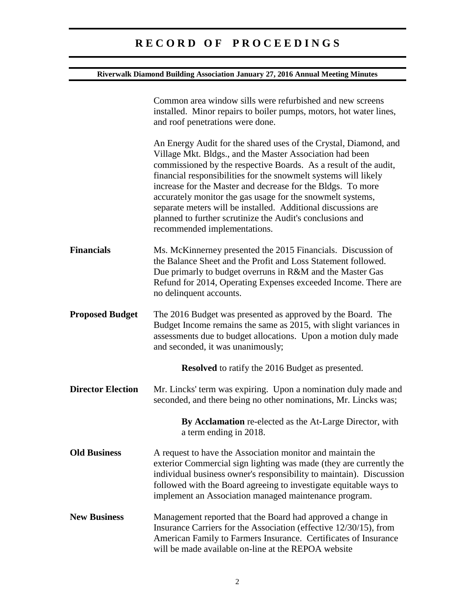# **R E C O R D O F P R O C E E D I N G S**

### **Riverwalk Diamond Building Association January 27, 2016 Annual Meeting Minutes**

|                          | Common area window sills were refurbished and new screens<br>installed. Minor repairs to boiler pumps, motors, hot water lines,<br>and roof penetrations were done.                                                                                                                                                                                                                                                                                                                                                                                            |
|--------------------------|----------------------------------------------------------------------------------------------------------------------------------------------------------------------------------------------------------------------------------------------------------------------------------------------------------------------------------------------------------------------------------------------------------------------------------------------------------------------------------------------------------------------------------------------------------------|
|                          | An Energy Audit for the shared uses of the Crystal, Diamond, and<br>Village Mkt. Bldgs., and the Master Association had been<br>commissioned by the respective Boards. As a result of the audit,<br>financial responsibilities for the snowmelt systems will likely<br>increase for the Master and decrease for the Bldgs. To more<br>accurately monitor the gas usage for the snowmelt systems,<br>separate meters will be installed. Additional discussions are<br>planned to further scrutinize the Audit's conclusions and<br>recommended implementations. |
| <b>Financials</b>        | Ms. McKinnerney presented the 2015 Financials. Discussion of<br>the Balance Sheet and the Profit and Loss Statement followed.<br>Due primarly to budget overruns in R&M and the Master Gas<br>Refund for 2014, Operating Expenses exceeded Income. There are<br>no delinquent accounts.                                                                                                                                                                                                                                                                        |
| <b>Proposed Budget</b>   | The 2016 Budget was presented as approved by the Board. The<br>Budget Income remains the same as 2015, with slight variances in<br>assessments due to budget allocations. Upon a motion duly made<br>and seconded, it was unanimously;                                                                                                                                                                                                                                                                                                                         |
|                          | <b>Resolved</b> to ratify the 2016 Budget as presented.                                                                                                                                                                                                                                                                                                                                                                                                                                                                                                        |
| <b>Director Election</b> | Mr. Lincks' term was expiring. Upon a nomination duly made and<br>seconded, and there being no other nominations, Mr. Lincks was;                                                                                                                                                                                                                                                                                                                                                                                                                              |
|                          | By Acclamation re-elected as the At-Large Director, with<br>a term ending in 2018.                                                                                                                                                                                                                                                                                                                                                                                                                                                                             |
| <b>Old Business</b>      | A request to have the Association monitor and maintain the<br>exterior Commercial sign lighting was made (they are currently the<br>individual business owner's responsibility to maintain). Discussion<br>followed with the Board agreeing to investigate equitable ways to<br>implement an Association managed maintenance program.                                                                                                                                                                                                                          |
| <b>New Business</b>      | Management reported that the Board had approved a change in<br>Insurance Carriers for the Association (effective 12/30/15), from<br>American Family to Farmers Insurance. Certificates of Insurance<br>will be made available on-line at the REPOA website                                                                                                                                                                                                                                                                                                     |